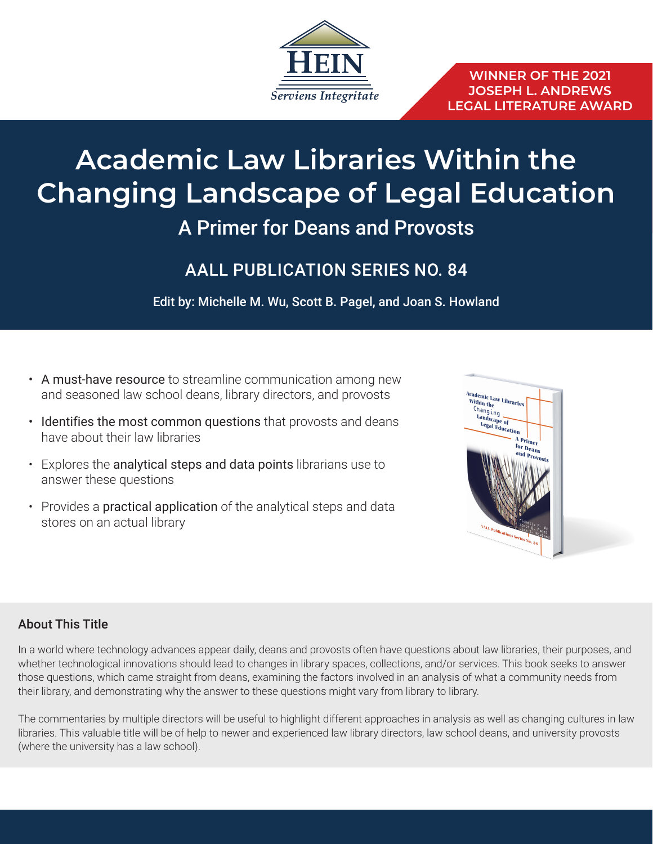

# **Academic Law Libraries Within the Changing Landscape of Legal Education** A Primer for Deans and Provosts

## AALL PUBLICATION SERIES NO. 84

Edit by: Michelle M. Wu, Scott B. Pagel, and Joan S. Howland

- A must-have resource to streamline communication among new and seasoned law school deans, library directors, and provosts
- Identifies the most common questions that provosts and deans have about their law libraries
- Explores the analytical steps and data points librarians use to answer these questions
- Provides a **practical application** of the analytical steps and data stores on an actual library



### About This Title

In a world where technology advances appear daily, deans and provosts often have questions about law libraries, their purposes, and whether technological innovations should lead to changes in library spaces, collections, and/or services. This book seeks to answer those questions, which came straight from deans, examining the factors involved in an analysis of what a community needs from their library, and demonstrating why the answer to these questions might vary from library to library.

The commentaries by multiple directors will be useful to highlight different approaches in analysis as well as changing cultures in law libraries. This valuable title will be of help to newer and experienced law library directors, law school deans, and university provosts (where the university has a law school).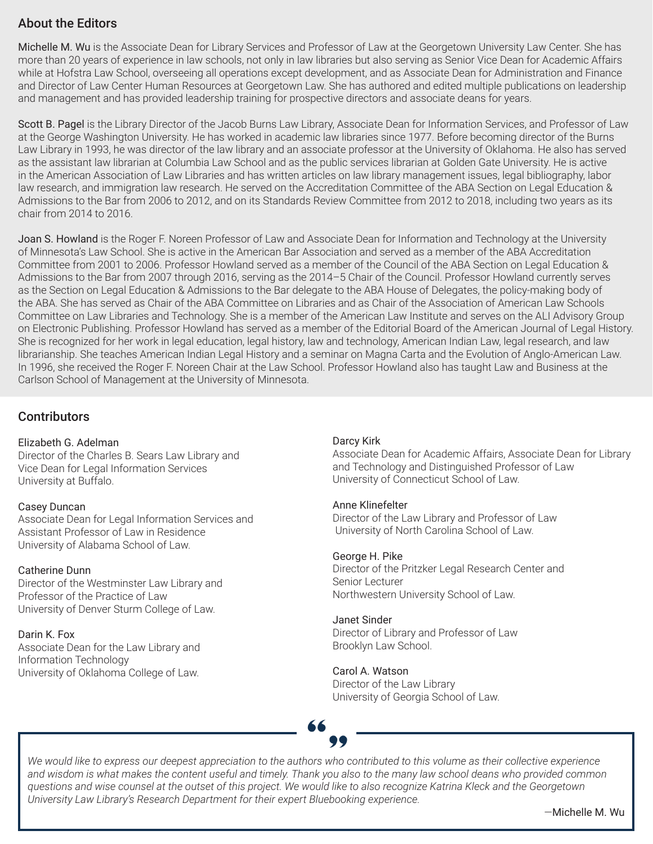### About the Editors

Michelle M. Wu is the Associate Dean for Library Services and Professor of Law at the Georgetown University Law Center. She has more than 20 years of experience in law schools, not only in law libraries but also serving as Senior Vice Dean for Academic Affairs while at Hofstra Law School, overseeing all operations except development, and as Associate Dean for Administration and Finance and Director of Law Center Human Resources at Georgetown Law. She has authored and edited multiple publications on leadership and management and has provided leadership training for prospective directors and associate deans for years.

Scott B. Pagel is the Library Director of the Jacob Burns Law Library, Associate Dean for Information Services, and Professor of Law at the George Washington University. He has worked in academic law libraries since 1977. Before becoming director of the Burns Law Library in 1993, he was director of the law library and an associate professor at the University of Oklahoma. He also has served as the assistant law librarian at Columbia Law School and as the public services librarian at Golden Gate University. He is active in the American Association of Law Libraries and has written articles on law library management issues, legal bibliography, labor law research, and immigration law research. He served on the Accreditation Committee of the ABA Section on Legal Education & Admissions to the Bar from 2006 to 2012, and on its Standards Review Committee from 2012 to 2018, including two years as its chair from 2014 to 2016.

Joan S. Howland is the Roger F. Noreen Professor of Law and Associate Dean for Information and Technology at the University of Minnesota's Law School. She is active in the American Bar Association and served as a member of the ABA Accreditation Committee from 2001 to 2006. Professor Howland served as a member of the Council of the ABA Section on Legal Education & Admissions to the Bar from 2007 through 2016, serving as the 2014–5 Chair of the Council. Professor Howland currently serves as the Section on Legal Education & Admissions to the Bar delegate to the ABA House of Delegates, the policy-making body of the ABA. She has served as Chair of the ABA Committee on Libraries and as Chair of the Association of American Law Schools Committee on Law Libraries and Technology. She is a member of the American Law Institute and serves on the ALI Advisory Group on Electronic Publishing. Professor Howland has served as a member of the Editorial Board of the American Journal of Legal History. She is recognized for her work in legal education, legal history, law and technology, American Indian Law, legal research, and law librarianship. She teaches American Indian Legal History and a seminar on Magna Carta and the Evolution of Anglo-American Law. In 1996, she received the Roger F. Noreen Chair at the Law School. Professor Howland also has taught Law and Business at the Carlson School of Management at the University of Minnesota.

#### **Contributors**

#### Elizabeth G. Adelman

Director of the Charles B. Sears Law Library and Vice Dean for Legal Information Services University at Buffalo.

#### Casey Duncan

Associate Dean for Legal Information Services and Assistant Professor of Law in Residence University of Alabama School of Law.

#### Catherine Dunn

Director of the Westminster Law Library and Professor of the Practice of Law University of Denver Sturm College of Law.

#### Darin K. Fox

Associate Dean for the Law Library and Information Technology University of Oklahoma College of Law.

#### Darcy Kirk

Associate Dean for Academic Affairs, Associate Dean for Library and Technology and Distinguished Professor of Law University of Connecticut School of Law.

#### Anne Klinefelter

Director of the Law Library and Professor of Law University of North Carolina School of Law.

#### George H. Pike

Director of the Pritzker Legal Research Center and Senior Lecturer Northwestern University School of Law.

#### Janet Sinder

Director of Library and Professor of Law Brooklyn Law School.

#### Carol A. Watson Director of the Law Library

University of Georgia School of Law.

*We would like to express our deepest appreciation to the authors who contributed to this volume as their collective experience and wisdom is what makes the content useful and timely. Thank you also to the many law school deans who provided common questions and wise counsel at the outset of this project. We would like to also recognize Katrina Kleck and the Georgetown University Law Library's Research Department for their expert Bluebooking experience.*

—Michelle M. Wu